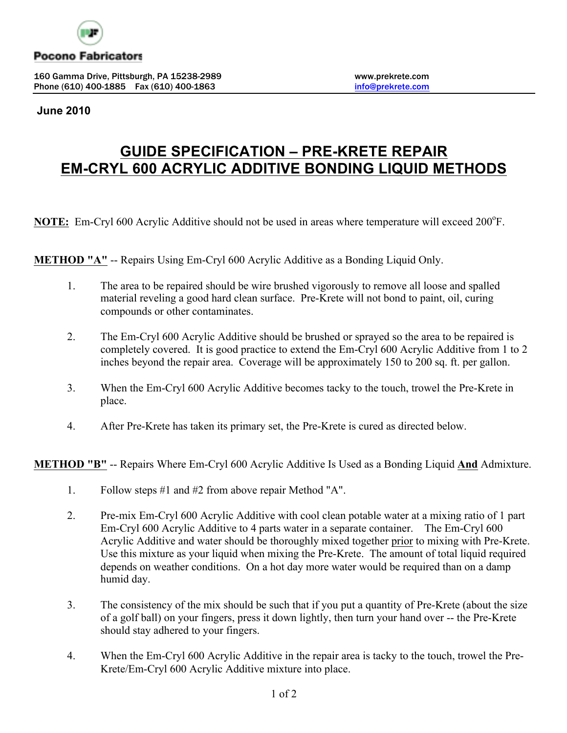

### **Pocono Fabricators**

160 Gamma Drive, Pittsburgh, PA 15238-2989 www.prekrete.com Phone (610) 400-1885 Fax (610) 400-1863 **info@prekrete.com** 

#### **June 2010**

# **GUIDE SPECIFICATION – PRE-KRETE REPAIR EM-CRYL 600 ACRYLIC ADDITIVE BONDING LIQUID METHODS**

NOTE: Em-Cryl 600 Acrylic Additive should not be used in areas where temperature will exceed 200°F.

**METHOD "A"** -- Repairs Using Em-Cryl 600 Acrylic Additive as a Bonding Liquid Only.

- 1. The area to be repaired should be wire brushed vigorously to remove all loose and spalled material reveling a good hard clean surface. Pre-Krete will not bond to paint, oil, curing compounds or other contaminates.
- 2. The Em-Cryl 600 Acrylic Additive should be brushed or sprayed so the area to be repaired is completely covered. It is good practice to extend the Em-Cryl 600 Acrylic Additive from 1 to 2 inches beyond the repair area. Coverage will be approximately 150 to 200 sq. ft. per gallon.
- 3. When the Em-Cryl 600 Acrylic Additive becomes tacky to the touch, trowel the Pre-Krete in place.
- 4. After Pre-Krete has taken its primary set, the Pre-Krete is cured as directed below.

**METHOD "B"** -- Repairs Where Em-Cryl 600 Acrylic Additive Is Used as a Bonding Liquid **And** Admixture.

- 1. Follow steps #1 and #2 from above repair Method "A".
- 2. Pre-mix Em-Cryl 600 Acrylic Additive with cool clean potable water at a mixing ratio of 1 part Em-Cryl 600 Acrylic Additive to 4 parts water in a separate container. The Em-Cryl 600 Acrylic Additive and water should be thoroughly mixed together prior to mixing with Pre-Krete. Use this mixture as your liquid when mixing the Pre-Krete. The amount of total liquid required depends on weather conditions. On a hot day more water would be required than on a damp humid day.
- 3. The consistency of the mix should be such that if you put a quantity of Pre-Krete (about the size of a golf ball) on your fingers, press it down lightly, then turn your hand over -- the Pre-Krete should stay adhered to your fingers.
- 4. When the Em-Cryl 600 Acrylic Additive in the repair area is tacky to the touch, trowel the Pre-Krete/Em-Cryl 600 Acrylic Additive mixture into place.